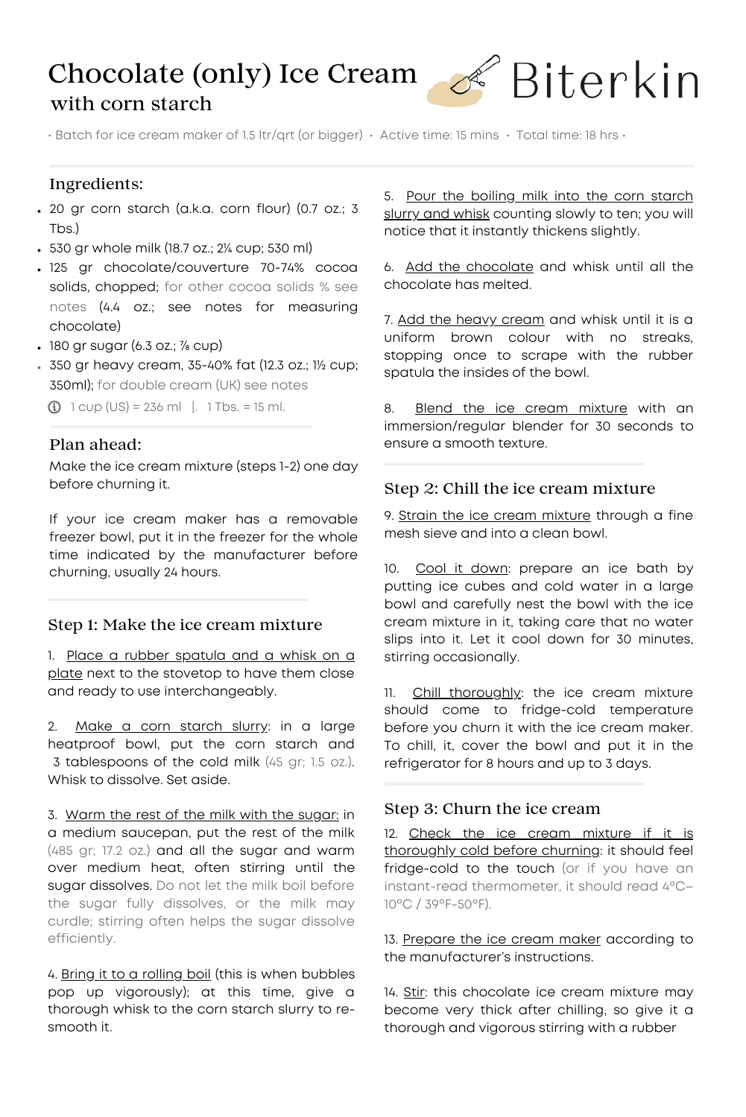# Chocolate (only) Ice Cream with corn starch



• Batch for ice cream maker of 1.5 ltr/qrt (or bigger) • Active time: 15 mins • Total time: 18 hrs •

## Ingredients:

- 20 gr corn starch (a.k.a. corn flour) (0.7 oz.; 3 Tbs.)
- 530 gr whole milk (18.7 oz.; 2¼ cup; 530 ml)
- 125 gr chocolate/couverture 70-74% cocoa solids, chopped; for other cocoa solids % see notes (4.4 oz.; see notes for measuring chocolate)
- $\cdot$  180 gr sugar (6.3 oz.;  $\frac{7}{8}$  cup)
- 350 gr heavy cream, 35-40% fat (12.3 oz.; 1½ cup; 350ml); for double cream (UK) see notes

 $\odot$  1 cup (US) = 236 ml |. 1 Tbs. = 15 ml.

### Plan ahead:

Make the ice cream mixture (steps 1-2) one day before churning it.

If your ice cream maker has a removable freezer bowl, put it in the freezer for the whole time indicated by the manufacturer before churning, usually 24 hours.

## Step 1: Make the ice cream mixture

1. Place a rubber spatula and a whisk on a plate next to the stovetop to have them close and ready to use interchangeably.

2. Make a corn starch slurry: in a large heatproof bowl, put the corn starch and 3 tablespoons of the cold milk (45 gr; 1.5 oz.). Whisk to dissolve. Set aside.

3. Warm the rest of the milk with the sugar: in a medium saucepan, put the rest of the milk (485 gr; 17.2 oz.) and all the sugar and warm over medium heat, often stirring until the sugar dissolves. Do not let the milk boil before the sugar fully dissolves, or the milk may curdle; stirring often helps the sugar dissolve efficiently.

4. Bring it to a rolling boil (this is when bubbles pop up vigorously); at this time, give a thorough whisk to the corn starch slurry to resmooth it.

5. Pour the boiling milk into the corn starch slurry and whisk counting slowly to ten; you will notice that it instantly thickens slightly.

6. Add the chocolate and whisk until all the chocolate has melted.

7. Add the heavy cream and whisk until it is a uniform brown colour with no streaks, stopping once to scrape with the rubber spatula the insides of the bowl.

8. Blend the ice cream mixture with an immersion/regular blender for 30 seconds to ensure a smooth texture.

### Step 2: Chill the ice cream mixture

9. Strain the ice cream mixture through a fine mesh sieve and into a clean bowl.

10. Cool it down: prepare an ice bath by putting ice cubes and cold water in a large bowl and carefully nest the bowl with the ice cream mixture in it, taking care that no water slips into it. Let it cool down for 30 minutes, stirring occasionally.

11. Chill thoroughly: the ice cream mixture should come to fridge-cold temperature before you churn it with the ice cream maker. To chill, it, cover the bowl and put it in the refrigerator for 8 hours and up to 3 days.

#### Step 3: Churn the ice cream

12. Check the ice cream mixture if it is thoroughly cold before churning: it should feel fridge-cold to the touch (or if you have an instant-read thermometer, it should read 4ºC– 10ºC / 39ºF-50ºF).

13. Prepare the ice cream maker according to the manufacturer's instructions.

14. Stir: this chocolate ice cream mixture may become very thick after chilling, so give it a thorough and vigorous stirring with a rubber